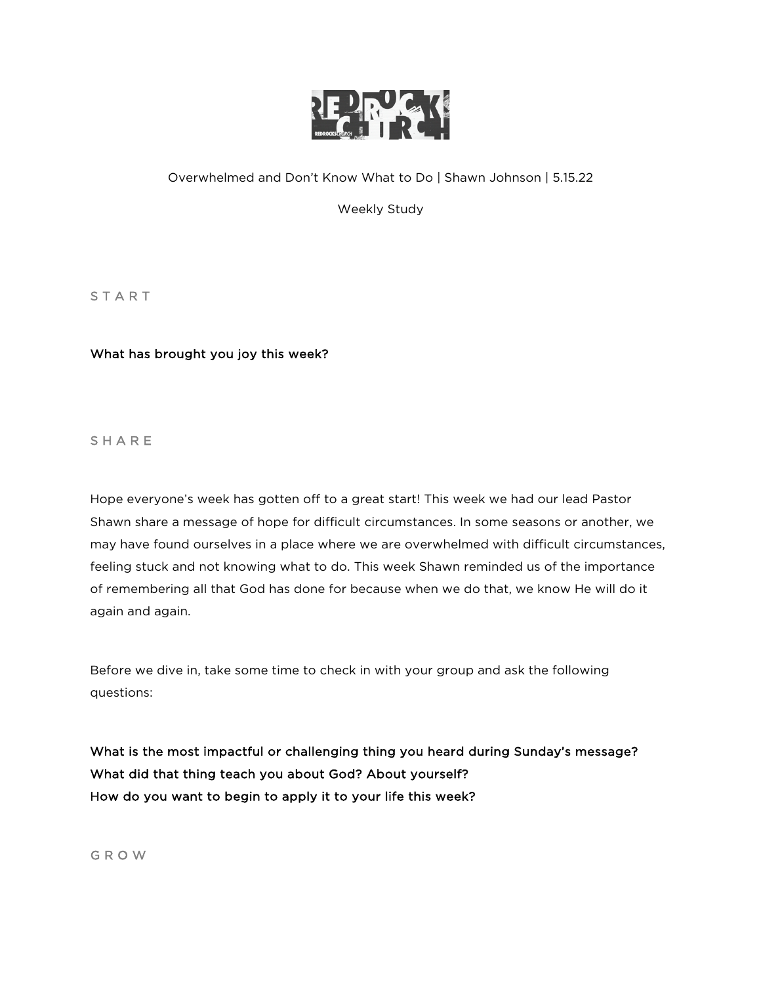

# Overwhelmed and Don't Know What to Do | Shawn Johnson | 5.15.22

Weekly Study

**START** 

## What has brought you joy this week?

**SHARE** 

Hope everyone's week has gotten off to a great start! This week we had our lead Pastor Shawn share a message of hope for difficult circumstances. In some seasons or another, we may have found ourselves in a place where we are overwhelmed with difficult circumstances, feeling stuck and not knowing what to do. This week Shawn reminded us of the importance of remembering all that God has done for because when we do that, we know He will do it again and again.

Before we dive in, take some time to check in with your group and ask the following questions:

What is the most impactful or challenging thing you heard during Sunday's message? What did that thing teach you about God? About yourself? How do you want to begin to apply it to your life this week?

G R O W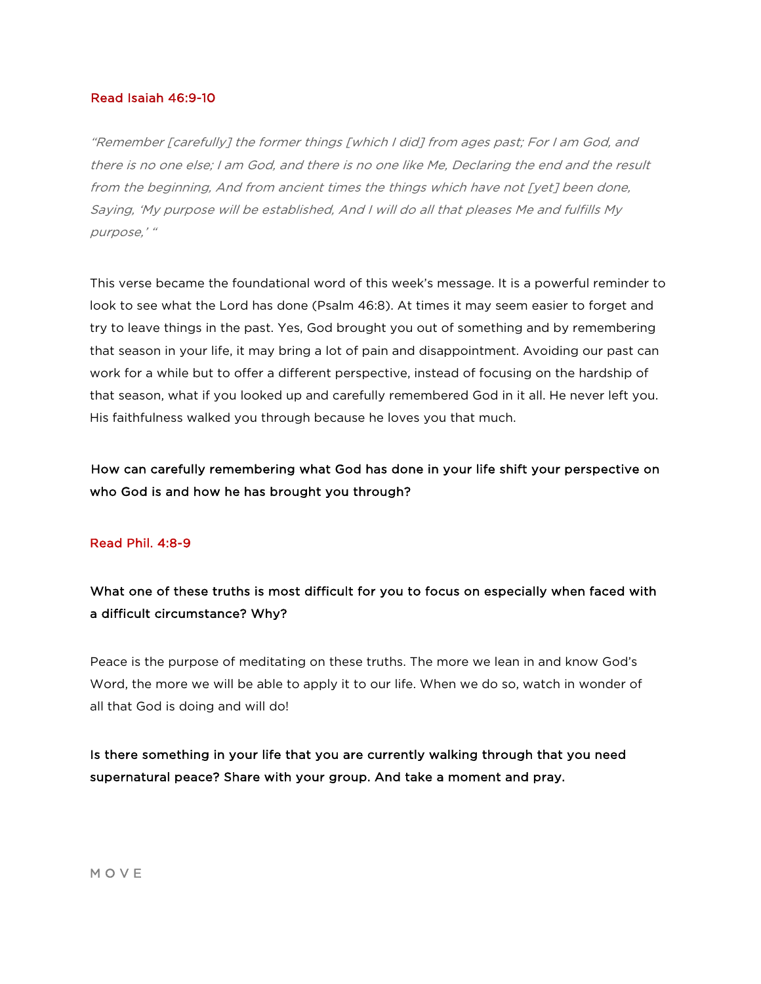### Read Isaiah 46:9-10

"Remember [carefully] the former things [which I did] from ages past; For I am God, and there is no one else; I am God, and there is no one like Me, Declaring the end and the result from the beginning, And from ancient times the things which have not [yet] been done, Saying, 'My purpose will be established, And I will do all that pleases Me and fulfills My purpose,' "

This verse became the foundational word of this week's message. It is a powerful reminder to look to see what the Lord has done (Psalm 46:8). At times it may seem easier to forget and try to leave things in the past. Yes, God brought you out of something and by remembering that season in your life, it may bring a lot of pain and disappointment. Avoiding our past can work for a while but to offer a different perspective, instead of focusing on the hardship of that season, what if you looked up and carefully remembered God in it all. He never left you. His faithfulness walked you through because he loves you that much.

How can carefully remembering what God has done in your life shift your perspective on who God is and how he has brought you through?

### Read Phil. 4:8-9

What one of these truths is most difficult for you to focus on especially when faced with a difficult circumstance? Why?

Peace is the purpose of meditating on these truths. The more we lean in and know God's Word, the more we will be able to apply it to our life. When we do so, watch in wonder of all that God is doing and will do!

Is there something in your life that you are currently walking through that you need supernatural peace? Share with your group. And take a moment and pray.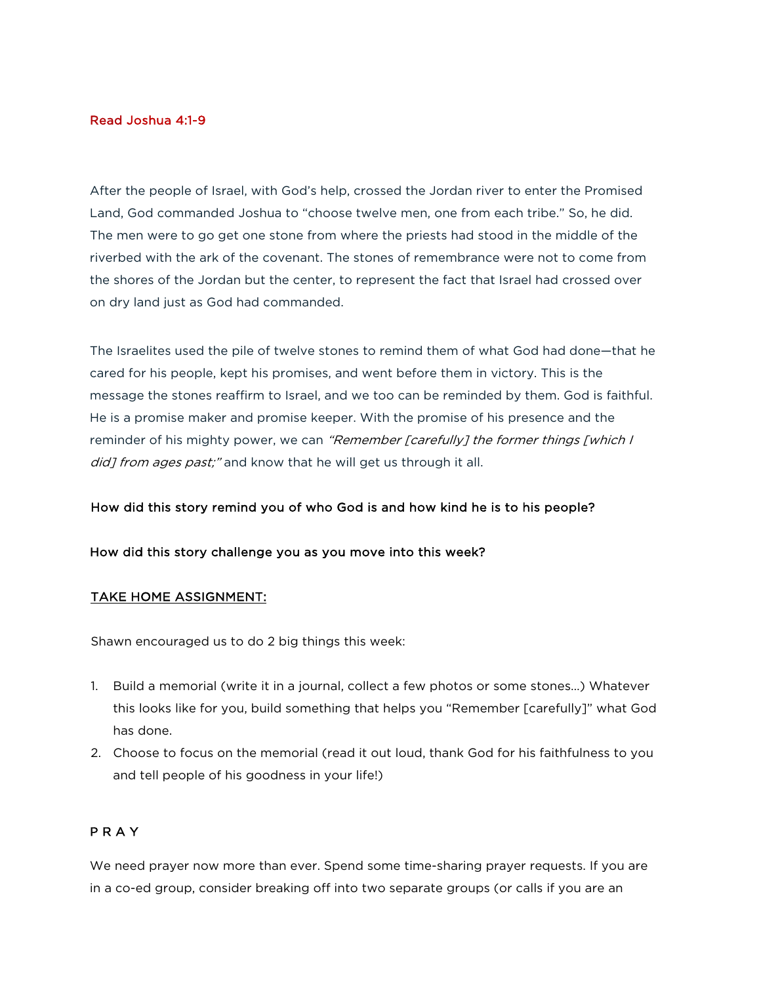### Read Joshua 4:1-9

After the people of Israel, with God's help, crossed the Jordan river to enter the Promised Land, God commanded Joshua to "choose twelve men, one from each tribe." So, he did. The men were to go get one stone from where the priests had stood in the middle of the riverbed with the ark of the covenant. The stones of remembrance were not to come from the shores of the Jordan but the center, to represent the fact that Israel had crossed over on dry land just as God had commanded.

The Israelites used the pile of twelve stones to remind them of what God had done—that he cared for his people, kept his promises, and went before them in victory. This is the message the stones reaffirm to Israel, and we too can be reminded by them. God is faithful. He is a promise maker and promise keeper. With the promise of his presence and the reminder of his mighty power, we can "Remember [carefully] the former things [which I did] from ages past;" and know that he will get us through it all.

### How did this story remind you of who God is and how kind he is to his people?

### How did this story challenge you as you move into this week?

### TAKE HOME ASSIGNMENT:

Shawn encouraged us to do 2 big things this week:

- 1. Build a memorial (write it in a journal, collect a few photos or some stones…) Whatever this looks like for you, build something that helps you "Remember [carefully]" what God has done.
- 2. Choose to focus on the memorial (read it out loud, thank God for his faithfulness to you and tell people of his goodness in your life!)

### P R A Y

We need prayer now more than ever. Spend some time-sharing prayer requests. If you are in a co-ed group, consider breaking off into two separate groups (or calls if you are an